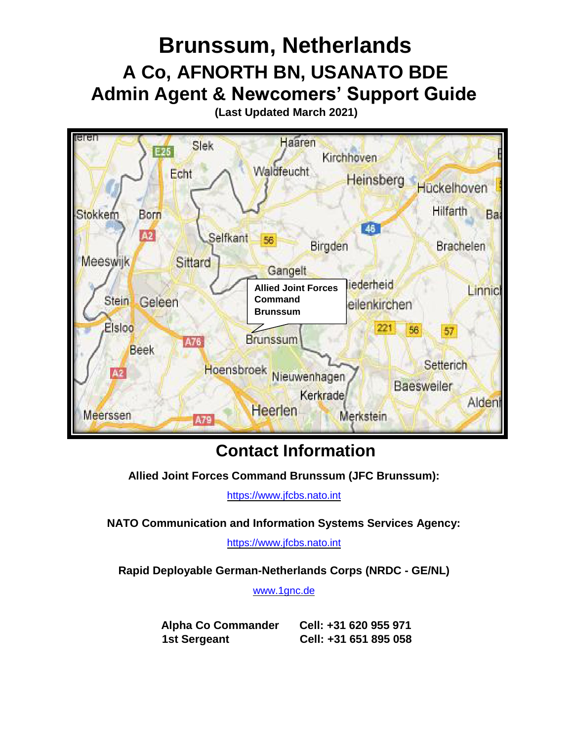

# **Contact Information**

**Allied Joint Forces Command Brunssum (JFC Brunssum):**

[https://www.jfcbs.nato.int](https://www.jfcbs.nato.int/)

**NATO Communication and Information Systems Services Agency:**

[https://www.jfcbs.nato.int](https://www.jfcbs.nato.int/)

**Rapid Deployable German-Netherlands Corps (NRDC - GE/NL)**

[www.1gnc.de](https://www.jfcbs.nato.int/)

**Alpha Co Commander Cell: +31 620 955 971 1st Sergeant Cell: +31 651 895 058**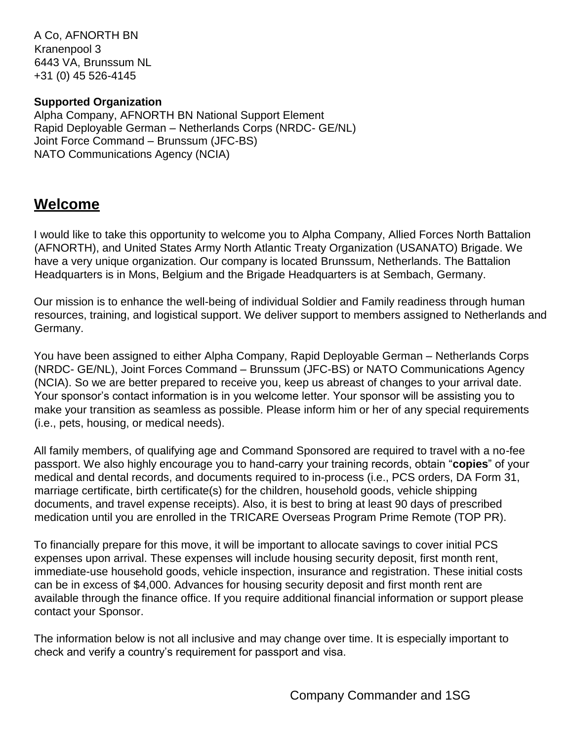A Co, AFNORTH BN Kranenpool 3 6443 VA, Brunssum NL +31 (0) 45 526-4145

#### **Supported Organization**

Alpha Company, AFNORTH BN National Support Element Rapid Deployable German – Netherlands Corps (NRDC- GE/NL) Joint Force Command – Brunssum (JFC-BS) NATO Communications Agency (NCIA)

# **Welcome**

I would like to take this opportunity to welcome you to Alpha Company, Allied Forces North Battalion (AFNORTH), and United States Army North Atlantic Treaty Organization (USANATO) Brigade. We have a very unique organization. Our company is located Brunssum, Netherlands. The Battalion Headquarters is in Mons, Belgium and the Brigade Headquarters is at Sembach, Germany.

Our mission is to enhance the well-being of individual Soldier and Family readiness through human resources, training, and logistical support. We deliver support to members assigned to Netherlands and Germany.

You have been assigned to either Alpha Company, Rapid Deployable German – Netherlands Corps (NRDC- GE/NL), Joint Forces Command – Brunssum (JFC-BS) or NATO Communications Agency (NCIA). So we are better prepared to receive you, keep us abreast of changes to your arrival date. Your sponsor's contact information is in you welcome letter. Your sponsor will be assisting you to make your transition as seamless as possible. Please inform him or her of any special requirements (i.e., pets, housing, or medical needs).

All family members, of qualifying age and Command Sponsored are required to travel with a no-fee passport. We also highly encourage you to hand-carry your training records, obtain "**copies**" of your medical and dental records, and documents required to in-process (i.e., PCS orders, DA Form 31, marriage certificate, birth certificate(s) for the children, household goods, vehicle shipping documents, and travel expense receipts). Also, it is best to bring at least 90 days of prescribed medication until you are enrolled in the TRICARE Overseas Program Prime Remote (TOP PR).

To financially prepare for this move, it will be important to allocate savings to cover initial PCS expenses upon arrival. These expenses will include housing security deposit, first month rent, immediate-use household goods, vehicle inspection, insurance and registration. These initial costs can be in excess of \$4,000. Advances for housing security deposit and first month rent are available through the finance office. If you require additional financial information or support please contact your Sponsor.

The information below is not all inclusive and may change over time. It is especially important to check and verify a country's requirement for passport and visa.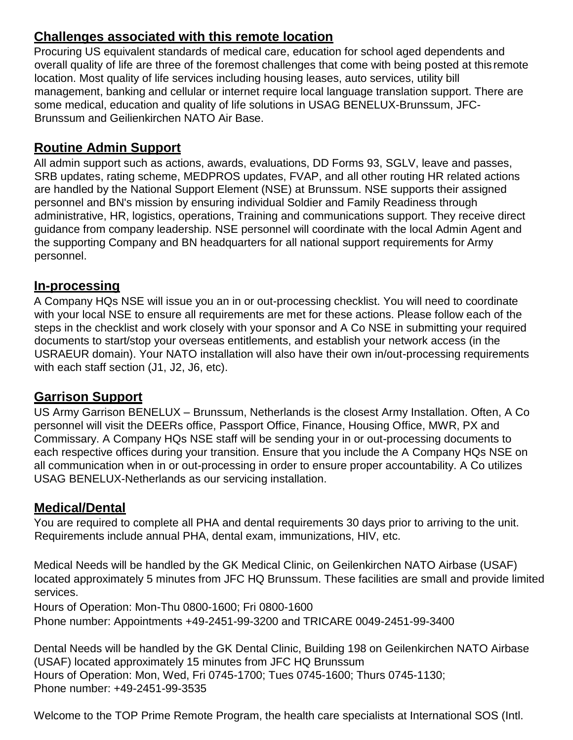#### **Challenges associated with this remote location**

Procuring US equivalent standards of medical care, education for school aged dependents and overall quality of life are three of the foremost challenges that come with being posted at this remote location. Most quality of life services including housing leases, auto services, utility bill management, banking and cellular or internet require local language translation support. There are some medical, education and quality of life solutions in USAG BENELUX-Brunssum, JFC-Brunssum and Geilienkirchen NATO Air Base.

# **Routine Admin Support**

All admin support such as actions, awards, evaluations, DD Forms 93, SGLV, leave and passes, SRB updates, rating scheme, MEDPROS updates, FVAP, and all other routing HR related actions are handled by the National Support Element (NSE) at Brunssum. NSE supports their assigned personnel and BN's mission by ensuring individual Soldier and Family Readiness through administrative, HR, logistics, operations, Training and communications support. They receive direct guidance from company leadership. NSE personnel will coordinate with the local Admin Agent and the supporting Company and BN headquarters for all national support requirements for Army personnel.

### **In-processing**

A Company HQs NSE will issue you an in or out-processing checklist. You will need to coordinate with your local NSE to ensure all requirements are met for these actions. Please follow each of the steps in the checklist and work closely with your sponsor and A Co NSE in submitting your required documents to start/stop your overseas entitlements, and establish your network access (in the USRAEUR domain). Your NATO installation will also have their own in/out-processing requirements with each staff section (J1, J2, J6, etc).

### **Garrison Support**

US Army Garrison BENELUX – Brunssum, Netherlands is the closest Army Installation. Often, A Co personnel will visit the DEERs office, Passport Office, Finance, Housing Office, MWR, PX and Commissary. A Company HQs NSE staff will be sending your in or out-processing documents to each respective offices during your transition. Ensure that you include the A Company HQs NSE on all communication when in or out-processing in order to ensure proper accountability. A Co utilizes USAG BENELUX-Netherlands as our servicing installation.

### **Medical/Dental**

You are required to complete all PHA and dental requirements 30 days prior to arriving to the unit. Requirements include annual PHA, dental exam, immunizations, HIV, etc.

Medical Needs will be handled by the GK Medical Clinic, on Geilenkirchen NATO Airbase (USAF) located approximately 5 minutes from JFC HQ Brunssum. These facilities are small and provide limited services.

Hours of Operation: Mon-Thu 0800-1600; Fri 0800-1600 Phone number: Appointments +49-2451-99-3200 and TRICARE 0049-2451-99-3400

Dental Needs will be handled by the GK Dental Clinic, Building 198 on Geilenkirchen NATO Airbase (USAF) located approximately 15 minutes from JFC HQ Brunssum Hours of Operation: Mon, Wed, Fri 0745-1700; Tues 0745-1600; Thurs 0745-1130; Phone number: +49-2451-99-3535

Welcome to the TOP Prime Remote Program, the health care specialists at International SOS (Intl.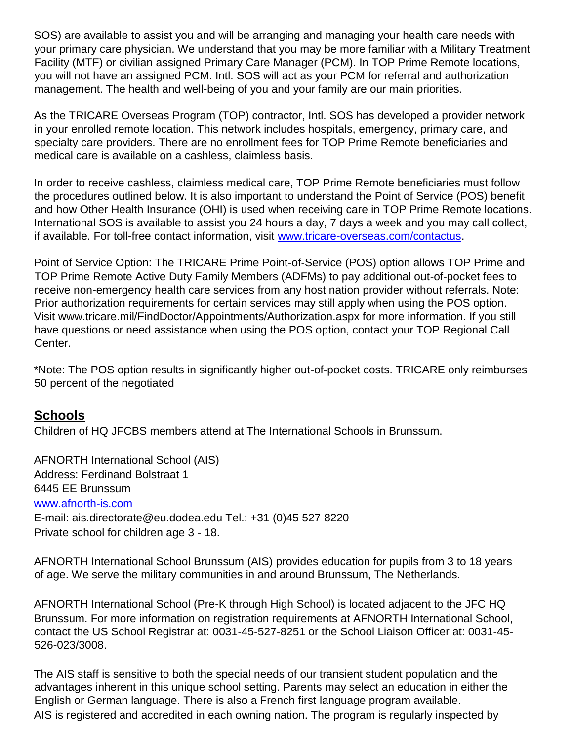SOS) are available to assist you and will be arranging and managing your health care needs with your primary care physician. We understand that you may be more familiar with a Military Treatment Facility (MTF) or civilian assigned Primary Care Manager (PCM). In TOP Prime Remote locations, you will not have an assigned PCM. Intl. SOS will act as your PCM for referral and authorization management. The health and well-being of you and your family are our main priorities.

As the TRICARE Overseas Program (TOP) contractor, Intl. SOS has developed a provider network in your enrolled remote location. This network includes hospitals, emergency, primary care, and specialty care providers. There are no enrollment fees for TOP Prime Remote beneficiaries and medical care is available on a cashless, claimless basis.

In order to receive cashless, claimless medical care, TOP Prime Remote beneficiaries must follow the procedures outlined below. It is also important to understand the Point of Service (POS) benefit and how Other Health Insurance (OHI) is used when receiving care in TOP Prime Remote locations. International SOS is available to assist you 24 hours a day, 7 days a week and you may call collect, if available. For toll-free contact information, visit [www.tricare-overseas.com/contactus.](http://www.tricare-overseas.com/contactus)

Point of Service Option: The TRICARE Prime Point-of-Service (POS) option allows TOP Prime and TOP Prime Remote Active Duty Family Members (ADFMs) to pay additional out-of-pocket fees to receive non-emergency health care services from any host nation provider without referrals. Note: Prior authorization requirements for certain services may still apply when using the POS option. Visit www.tricare.mil/FindDoctor/Appointments/Authorization.aspx for more information. If you still have questions or need assistance when using the POS option, contact your TOP Regional Call Center.

\*Note: The POS option results in significantly higher out-of-pocket costs. TRICARE only reimburses 50 percent of the negotiated

#### **Schools**

Children of HQ JFCBS members attend at The International Schools in Brunssum.

AFNORTH International School (AIS) Address: Ferdinand Bolstraat 1 6445 EE Brunssum [www.afnorth-is.com](http://www.afnorth-is.com/) E-mail: ais.directorate@eu.dodea.edu Tel.: +31 (0)45 527 8220 Private school for children age 3 - 18.

AFNORTH International School Brunssum (AIS) provides education for pupils from 3 to 18 years of age. We serve the military communities in and around Brunssum, The Netherlands.

AFNORTH International School (Pre-K through High School) is located adjacent to the JFC HQ Brunssum. For more information on registration requirements at AFNORTH International School, contact the US School Registrar at: 0031-45-527-8251 or the School Liaison Officer at: 0031-45- 526-023/3008.

The AIS staff is sensitive to both the special needs of our transient student population and the advantages inherent in this unique school setting. Parents may select an education in either the English or German language. There is also a French first language program available. AIS is registered and accredited in each owning nation. The program is regularly inspected by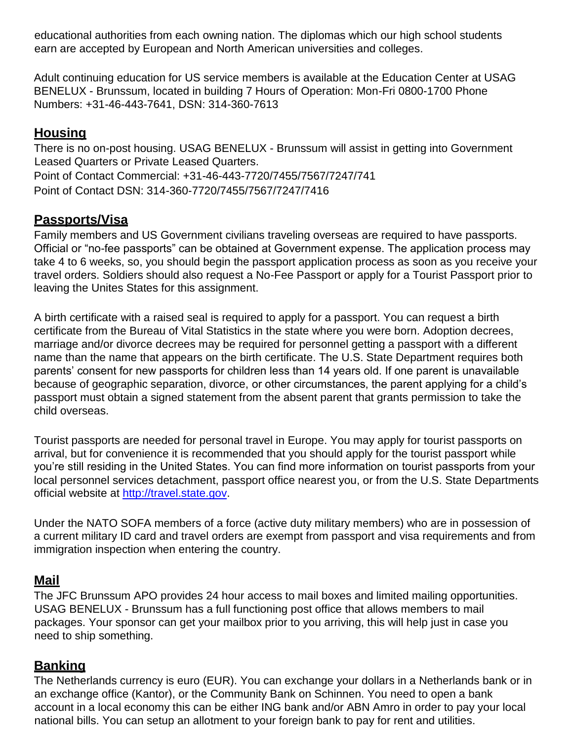educational authorities from each owning nation. The diplomas which our high school students earn are accepted by European and North American universities and colleges.

Adult continuing education for US service members is available at the Education Center at USAG BENELUX - Brunssum, located in building 7 Hours of Operation: Mon-Fri 0800-1700 Phone Numbers: +31-46-443-7641, DSN: 314-360-7613

#### **Housing**

There is no on-post housing. USAG BENELUX - Brunssum will assist in getting into Government Leased Quarters or Private Leased Quarters. Point of Contact Commercial: +31-46-443-7720/7455/7567/7247/741 Point of Contact DSN: 314-360-7720/7455/7567/7247/7416

#### **Passports/Visa**

Family members and US Government civilians traveling overseas are required to have passports. Official or "no-fee passports" can be obtained at Government expense. The application process may take 4 to 6 weeks, so, you should begin the passport application process as soon as you receive your travel orders. Soldiers should also request a No-Fee Passport or apply for a Tourist Passport prior to leaving the Unites States for this assignment.

A birth certificate with a raised seal is required to apply for a passport. You can request a birth certificate from the Bureau of Vital Statistics in the state where you were born. Adoption decrees, marriage and/or divorce decrees may be required for personnel getting a passport with a different name than the name that appears on the birth certificate. The U.S. State Department requires both parents' consent for new passports for children less than 14 years old. If one parent is unavailable because of geographic separation, divorce, or other circumstances, the parent applying for a child's passport must obtain a signed statement from the absent parent that grants permission to take the child overseas.

Tourist passports are needed for personal travel in Europe. You may apply for tourist passports on arrival, but for convenience it is recommended that you should apply for the tourist passport while you're still residing in the United States. You can find more information on tourist passports from your local personnel services detachment, passport office nearest you, or from the U.S. State Departments official website at [http://travel.state.gov.](http://travel.state.gov/)

Under the NATO SOFA members of a force (active duty military members) who are in possession of a current military ID card and travel orders are exempt from passport and visa requirements and from immigration inspection when entering the country.

#### **Mail**

The JFC Brunssum APO provides 24 hour access to mail boxes and limited mailing opportunities. USAG BENELUX - Brunssum has a full functioning post office that allows members to mail packages. Your sponsor can get your mailbox prior to you arriving, this will help just in case you need to ship something.

#### **Banking**

The Netherlands currency is euro (EUR). You can exchange your dollars in a Netherlands bank or in an exchange office (Kantor), or the Community Bank on Schinnen. You need to open a bank account in a local economy this can be either ING bank and/or ABN Amro in order to pay your local national bills. You can setup an allotment to your foreign bank to pay for rent and utilities.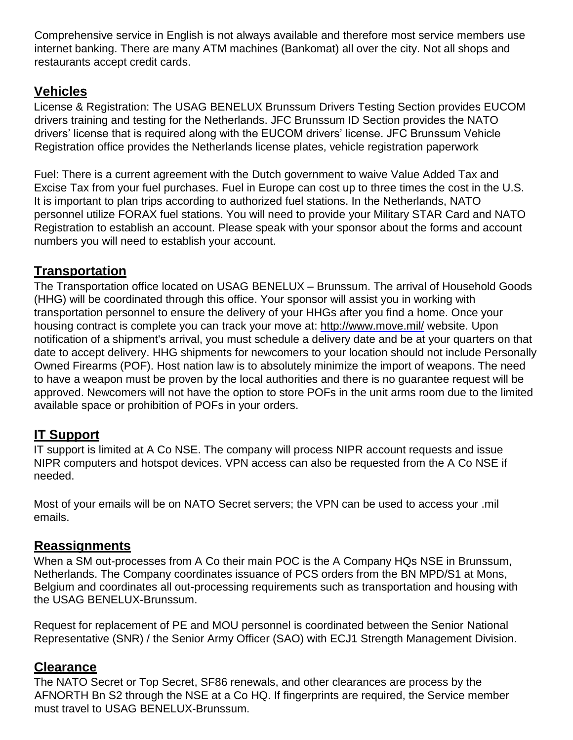Comprehensive service in English is not always available and therefore most service members use internet banking. There are many ATM machines (Bankomat) all over the city. Not all shops and restaurants accept credit cards.

#### **Vehicles**

License & Registration: The USAG BENELUX Brunssum Drivers Testing Section provides EUCOM drivers training and testing for the Netherlands. JFC Brunssum ID Section provides the NATO drivers' license that is required along with the EUCOM drivers' license. JFC Brunssum Vehicle Registration office provides the Netherlands license plates, vehicle registration paperwork

Fuel: There is a current agreement with the Dutch government to waive Value Added Tax and Excise Tax from your fuel purchases. Fuel in Europe can cost up to three times the cost in the U.S. It is important to plan trips according to authorized fuel stations. In the Netherlands, NATO personnel utilize FORAX fuel stations. You will need to provide your Military STAR Card and NATO Registration to establish an account. Please speak with your sponsor about the forms and account numbers you will need to establish your account.

#### **Transportation**

The Transportation office located on USAG BENELUX – Brunssum. The arrival of Household Goods (HHG) will be coordinated through this office. Your sponsor will assist you in working with transportation personnel to ensure the delivery of your HHGs after you find a home. Once your housing contract is complete you can track your move at:<http://www.move.mil/> [we](http://www.move.mil/)bsite. Upon notification of a shipment's arrival, you must schedule a delivery date and be at your quarters on that date to accept delivery. HHG shipments for newcomers to your location should not include Personally Owned Firearms (POF). Host nation law is to absolutely minimize the import of weapons. The need to have a weapon must be proven by the local authorities and there is no guarantee request will be approved. Newcomers will not have the option to store POFs in the unit arms room due to the limited available space or prohibition of POFs in your orders.

### **IT Support**

IT support is limited at A Co NSE. The company will process NIPR account requests and issue NIPR computers and hotspot devices. VPN access can also be requested from the A Co NSE if needed.

Most of your emails will be on NATO Secret servers; the VPN can be used to access your .mil emails.

#### **Reassignments**

When a SM out-processes from A Co their main POC is the A Company HQs NSE in Brunssum, Netherlands. The Company coordinates issuance of PCS orders from the BN MPD/S1 at Mons, Belgium and coordinates all out-processing requirements such as transportation and housing with the USAG BENELUX-Brunssum.

Request for replacement of PE and MOU personnel is coordinated between the Senior National Representative (SNR) / the Senior Army Officer (SAO) with ECJ1 Strength Management Division.

#### **Clearance**

The NATO Secret or Top Secret, SF86 renewals, and other clearances are process by the AFNORTH Bn S2 through the NSE at a Co HQ. If fingerprints are required, the Service member must travel to USAG BENELUX-Brunssum.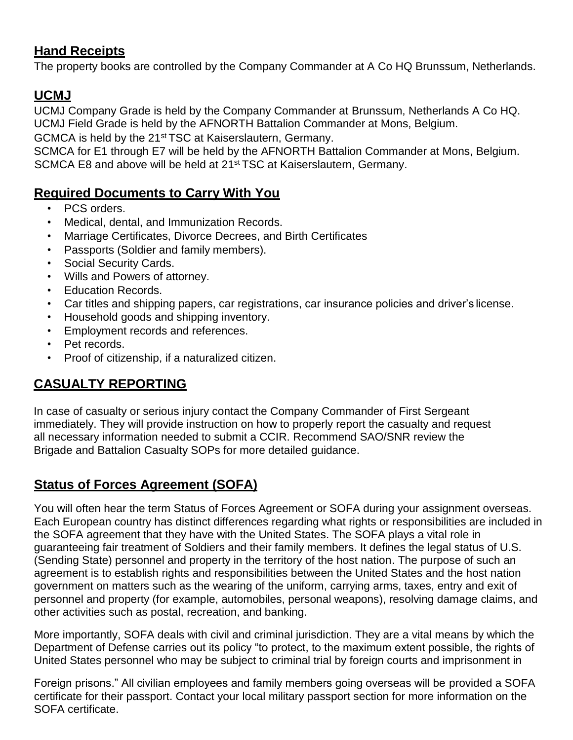### **Hand Receipts**

The property books are controlled by the Company Commander at A Co HQ Brunssum, Netherlands.

## **UCMJ**

UCMJ Company Grade is held by the Company Commander at Brunssum, Netherlands A Co HQ. UCMJ Field Grade is held by the AFNORTH Battalion Commander at Mons, Belgium.

GCMCA is held by the 21<sup>st</sup> TSC at Kaiserslautern, Germany.

SCMCA for E1 through E7 will be held by the AFNORTH Battalion Commander at Mons, Belgium. SCMCA E8 and above will be held at 21<sup>st</sup> TSC at Kaiserslautern, Germany.

## **Required Documents to Carry With You**

- PCS orders.
- Medical, dental, and Immunization Records.
- Marriage Certificates, Divorce Decrees, and Birth Certificates
- Passports (Soldier and family members).
- Social Security Cards.
- Wills and Powers of attorney.
- Education Records.
- Car titles and shipping papers, car registrations, car insurance policies and driver's license.
- Household goods and shipping inventory.
- Employment records and references.
- Pet records.
- Proof of citizenship, if a naturalized citizen.

# **CASUALTY REPORTING**

In case of casualty or serious injury contact the Company Commander of First Sergeant immediately. They will provide instruction on how to properly report the casualty and request all necessary information needed to submit a CCIR. Recommend SAO/SNR review the Brigade and Battalion Casualty SOPs for more detailed guidance.

# **Status of Forces Agreement (SOFA)**

You will often hear the term Status of Forces Agreement or SOFA during your assignment overseas. Each European country has distinct differences regarding what rights or responsibilities are included in the SOFA agreement that they have with the United States. The SOFA plays a vital role in guaranteeing fair treatment of Soldiers and their family members. It defines the legal status of U.S. (Sending State) personnel and property in the territory of the host nation. The purpose of such an agreement is to establish rights and responsibilities between the United States and the host nation government on matters such as the wearing of the uniform, carrying arms, taxes, entry and exit of personnel and property (for example, automobiles, personal weapons), resolving damage claims, and other activities such as postal, recreation, and banking.

More importantly, SOFA deals with civil and criminal jurisdiction. They are a vital means by which the Department of Defense carries out its policy "to protect, to the maximum extent possible, the rights of United States personnel who may be subject to criminal trial by foreign courts and imprisonment in

Foreign prisons." All civilian employees and family members going overseas will be provided a SOFA certificate for their passport. Contact your local military passport section for more information on the SOFA certificate.